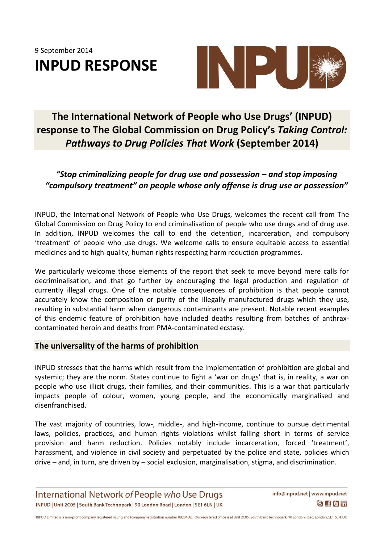9 September 2014 **INPUD RESPONSE**



## **The International Network of People who Use Drugs' (INPUD) response to The Global Commission on Drug Policy's** *Taking Control: Pathways to Drug Policies That Work* **(September 2014)**

### *"Stop criminalizing people for drug use and possession – and stop imposing "compulsory treatment" on people whose only offense is drug use or possession"*

INPUD, the International Network of People who Use Drugs, welcomes the recent call from The Global Commission on Drug Policy to end criminalisation of people who use drugs and of drug use. In addition, INPUD welcomes the call to end the detention, incarceration, and compulsory 'treatment' of people who use drugs. We welcome calls to ensure equitable access to essential medicines and to high-quality, human rights respecting harm reduction programmes.

We particularly welcome those elements of the report that seek to move beyond mere calls for decriminalisation, and that go further by encouraging the legal production and regulation of currently illegal drugs. One of the notable consequences of prohibition is that people cannot accurately know the composition or purity of the illegally manufactured drugs which they use, resulting in substantial harm when dangerous contaminants are present. Notable recent examples of this endemic feature of prohibition have included deaths resulting from batches of anthraxcontaminated heroin and deaths from PMA-contaminated ecstasy.

#### **The universality of the harms of prohibition**

INPUD stresses that the harms which result from the implementation of prohibition are global and systemic; they are the norm. States continue to fight a 'war on drugs' that is, in reality, a war on people who use illicit drugs, their families, and their communities. This is a war that particularly impacts people of colour, women, young people, and the economically marginalised and disenfranchised.

The vast majority of countries, low-, middle-, and high-income, continue to pursue detrimental laws, policies, practices, and human rights violations whilst falling short in terms of service provision and harm reduction. Policies notably include incarceration, forced 'treatment', harassment, and violence in civil society and perpetuated by the police and state, policies which drive – and, in turn, are driven by – social exclusion, marginalisation, stigma, and discrimination.

International Network of People who Use Drugs INPUD | Unit 2C05 | South Bank Technopark | 90 London Road | London | SE1 6LN | UK

INPUD Limited is a non-profit company registered in England (company registration number 8828458). Our registered office is at Unit 2C05, South Bank Technopark, 90 London Road, London, SE1 6LN, UK